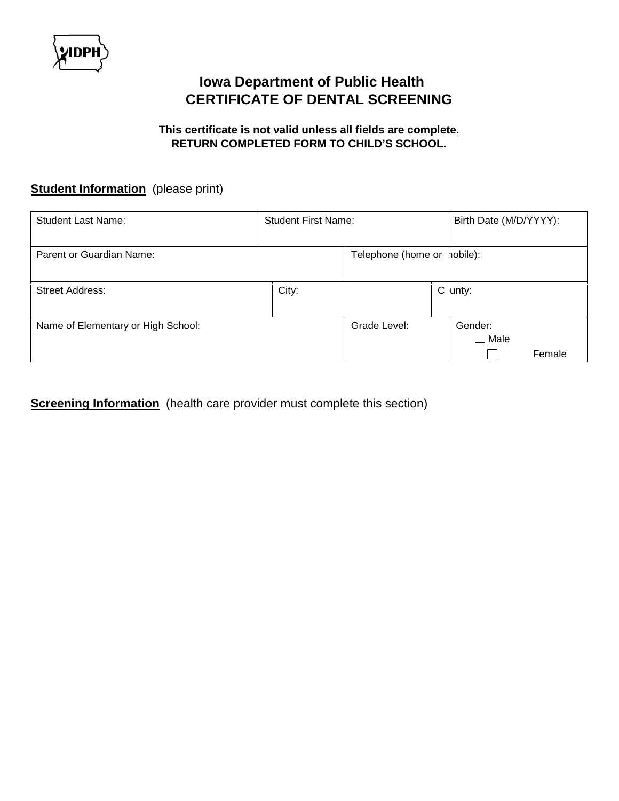

## **Iowa Department of Public Health CERTIFICATE OF DENTAL SCREENING**

## **This certificate is not valid unless all fields are complete. RETURN COMPLETED FORM TO CHILD'S SCHOOL.**

## **Student Information** (please print)

| <b>Student Last Name:</b>          | <b>Student First Name:</b> |                             | Birth Date (M/D/YYYY):                |
|------------------------------------|----------------------------|-----------------------------|---------------------------------------|
| Parent or Guardian Name:           |                            | Telephone (home or nobile): |                                       |
| <b>Street Address:</b>             | City:                      |                             | C $unty$ :                            |
| Name of Elementary or High School: |                            | Grade Level:                | Gender:<br>$\lrcorner$ Male<br>Female |

**Screening Information** (health care provider must complete this section)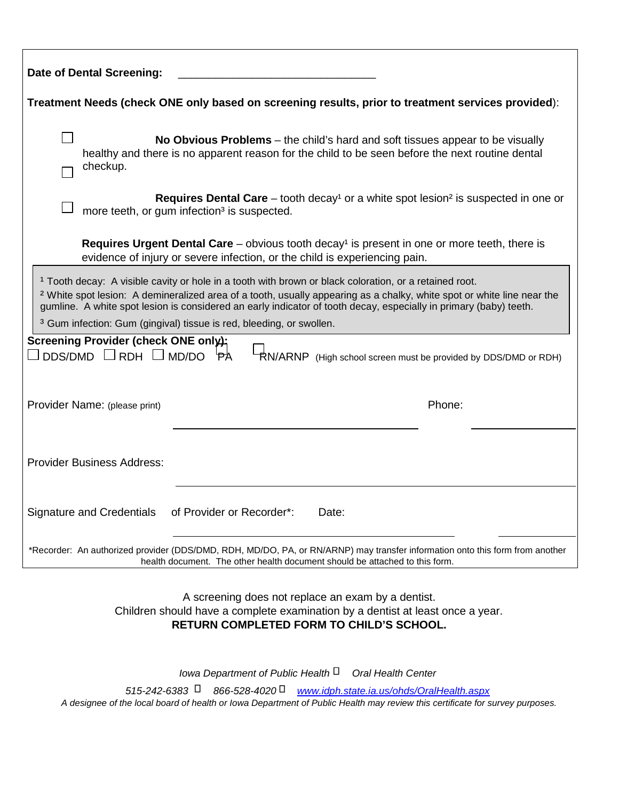| <b>Date of Dental Screening:</b>                                                                                                                                                                                                                                                                                                                                            |  |  |  |
|-----------------------------------------------------------------------------------------------------------------------------------------------------------------------------------------------------------------------------------------------------------------------------------------------------------------------------------------------------------------------------|--|--|--|
| Treatment Needs (check ONE only based on screening results, prior to treatment services provided):                                                                                                                                                                                                                                                                          |  |  |  |
| No Obvious Problems – the child's hard and soft tissues appear to be visually<br>healthy and there is no apparent reason for the child to be seen before the next routine dental<br>checkup.                                                                                                                                                                                |  |  |  |
| <b>Requires Dental Care</b> – tooth decay <sup>1</sup> or a white spot lesion <sup>2</sup> is suspected in one or<br>more teeth, or gum infection <sup>3</sup> is suspected.                                                                                                                                                                                                |  |  |  |
| <b>Requires Urgent Dental Care</b> – obvious tooth decay <sup>1</sup> is present in one or more teeth, there is<br>evidence of injury or severe infection, or the child is experiencing pain.                                                                                                                                                                               |  |  |  |
| <sup>1</sup> Tooth decay: A visible cavity or hole in a tooth with brown or black coloration, or a retained root.<br><sup>2</sup> White spot lesion: A demineralized area of a tooth, usually appearing as a chalky, white spot or white line near the<br>gumline. A white spot lesion is considered an early indicator of tooth decay, especially in primary (baby) teeth. |  |  |  |
| <sup>3</sup> Gum infection: Gum (gingival) tissue is red, bleeding, or swollen.<br>Screening Provider (check ONE only);                                                                                                                                                                                                                                                     |  |  |  |
| $DDS/DMD$ $\Box$ RDH $\Box$ MD/DO $\overleftrightarrow{PA}$<br>RN/ARNP (High school screen must be provided by DDS/DMD or RDH)                                                                                                                                                                                                                                              |  |  |  |
| Phone:<br>Provider Name: (please print)                                                                                                                                                                                                                                                                                                                                     |  |  |  |
| <b>Provider Business Address:</b>                                                                                                                                                                                                                                                                                                                                           |  |  |  |
| of Provider or Recorder*:<br><b>Signature and Credentials</b><br>Date:                                                                                                                                                                                                                                                                                                      |  |  |  |
| *Recorder: An authorized provider (DDS/DMD, RDH, MD/DO, PA, or RN/ARNP) may transfer information onto this form from another<br>health document. The other health document should be attached to this form.                                                                                                                                                                 |  |  |  |

A screening does not replace an exam by a dentist. Children should have a complete examination by a dentist at least once a year. **RETURN COMPLETED FORM TO CHILD'S SCHOOL.**

*Iowa Department of Public Health Oral Health Center 515-242-6383 866-528-4020 www.idph.state.ia.us/ohds/OralHealth.aspx A designee of the local board of health or Iowa Department of Public Health may review this certificate for survey purposes.*